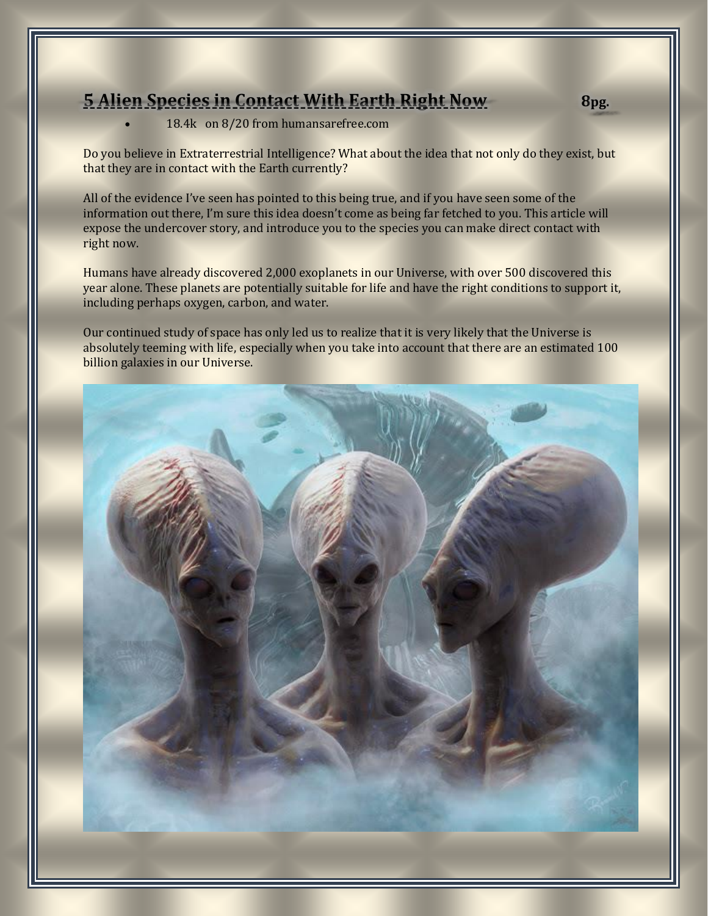# **5 Alien Species in Contact With Earth Right Now 8pg.**

• 18.4k on 8/20 from humansarefree.com

Do you believe in Extraterrestrial Intelligence? What about the idea that not only do they exist, but that they are in contact with the Earth currently?

All of the evidence I've seen has pointed to this being true, and if you have seen some of the information out there, I'm sure this idea doesn't come as being far fetched to you. This article will expose the undercover story, and introduce you to the species you can make direct contact with right now.

Humans have already discovered 2,000 exoplanets in our Universe, with over 500 discovered this year alone. These planets are potentially suitable for life and have the right conditions to support it, including perhaps oxygen, carbon, and water.

Our continued study of space has only led us to realize that it is very likely that the Universe is absolutely teeming with life, especially when you take into account that there are an estimated 100 billion galaxies in our Universe.

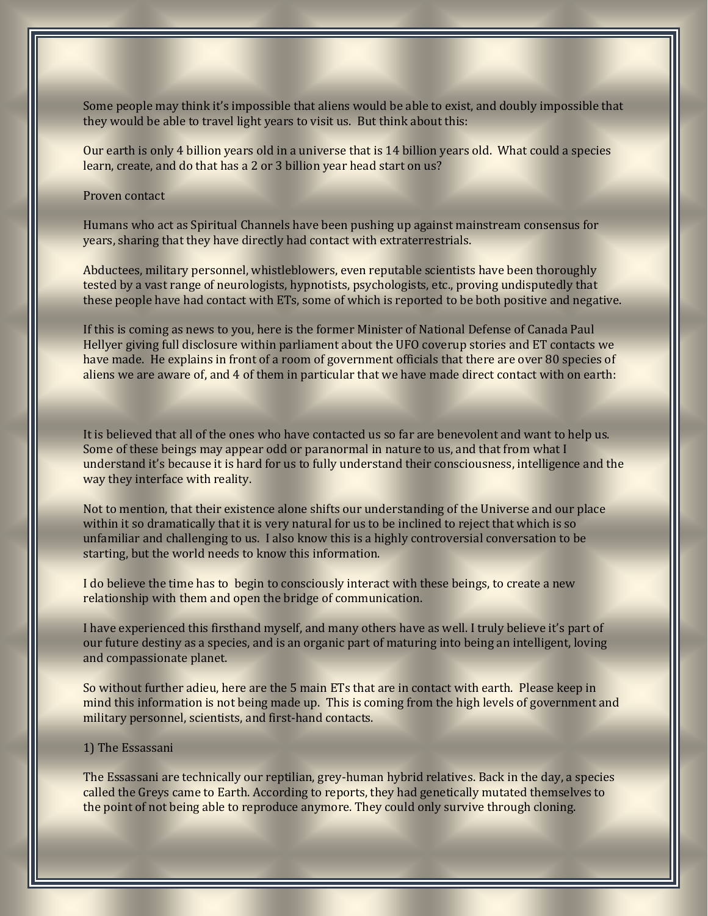Some people may think it's impossible that aliens would be able to exist, and doubly impossible that they would be able to travel light years to visit us. But think about this:

Our earth is only 4 billion years old in a universe that is 14 billion years old. What could a species learn, create, and do that has a 2 or 3 billion year head start on us?

#### Proven contact

Humans who act as Spiritual Channels have been pushing up against mainstream consensus for years, sharing that they have directly had contact with extraterrestrials.

Abductees, military personnel, whistleblowers, even reputable scientists have been thoroughly tested by a vast range of neurologists, hypnotists, psychologists, etc., proving undisputedly that these people have had contact with ETs, some of which is reported to be both positive and negative.

If this is coming as news to you, here is the former Minister of National Defense of Canada Paul Hellyer giving full disclosure within parliament about the UFO coverup stories and ET contacts we have made. He explains in front of a room of government officials that there are over 80 species of aliens we are aware of, and 4 of them in particular that we have made direct contact with on earth:

It is believed that all of the ones who have contacted us so far are benevolent and want to help us. Some of these beings may appear odd or paranormal in nature to us, and that from what I understand it's because it is hard for us to fully understand their consciousness, intelligence and the way they interface with reality.

Not to mention, that their existence alone shifts our understanding of the Universe and our place within it so dramatically that it is very natural for us to be inclined to reject that which is so unfamiliar and challenging to us. I also know this is a highly controversial conversation to be starting, but the world needs to know this information.

I do believe the time has to begin to consciously interact with these beings, to create a new relationship with them and open the bridge of communication.

I have experienced this firsthand myself, and many others have as well. I truly believe it's part of our future destiny as a species, and is an organic part of maturing into being an intelligent, loving and compassionate planet.

So without further adieu, here are the 5 main ETs that are in contact with earth. Please keep in mind this information is not being made up. This is coming from the high levels of government and military personnel, scientists, and first-hand contacts.

## 1) The Essassani

The Essassani are technically our reptilian, grey-human hybrid relatives. Back in the day, a species called the Greys came to Earth. According to reports, they had genetically mutated themselves to the point of not being able to reproduce anymore. They could only survive through cloning.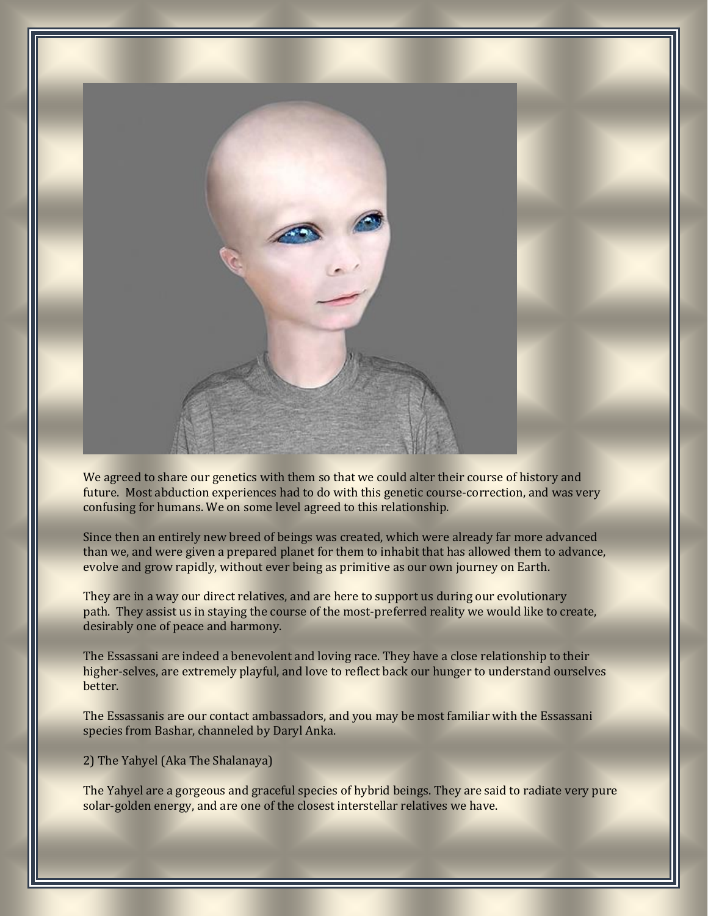

We agreed to share our genetics with them so that we could alter their course of history and future. Most abduction experiences had to do with this genetic course-correction, and was very confusing for humans. We on some level agreed to this relationship.

Since then an entirely new breed of beings was created, which were already far more advanced than we, and were given a prepared planet for them to inhabit that has allowed them to advance, evolve and grow rapidly, without ever being as primitive as our own journey on Earth.

They are in a way our direct relatives, and are here to support us during our evolutionary path. They assist us in staying the course of the most-preferred reality we would like to create, desirably one of peace and harmony.

The Essassani are indeed a benevolent and loving race. They have a close relationship to their higher-selves, are extremely playful, and love to reflect back our hunger to understand ourselves better.

The Essassanis are our contact ambassadors, and you may be most familiar with the Essassani species from Bashar, channeled by Daryl Anka.

2) The Yahyel (Aka The Shalanaya)

The Yahyel are a gorgeous and graceful species of hybrid beings. They are said to radiate very pure solar-golden energy, and are one of the closest interstellar relatives we have.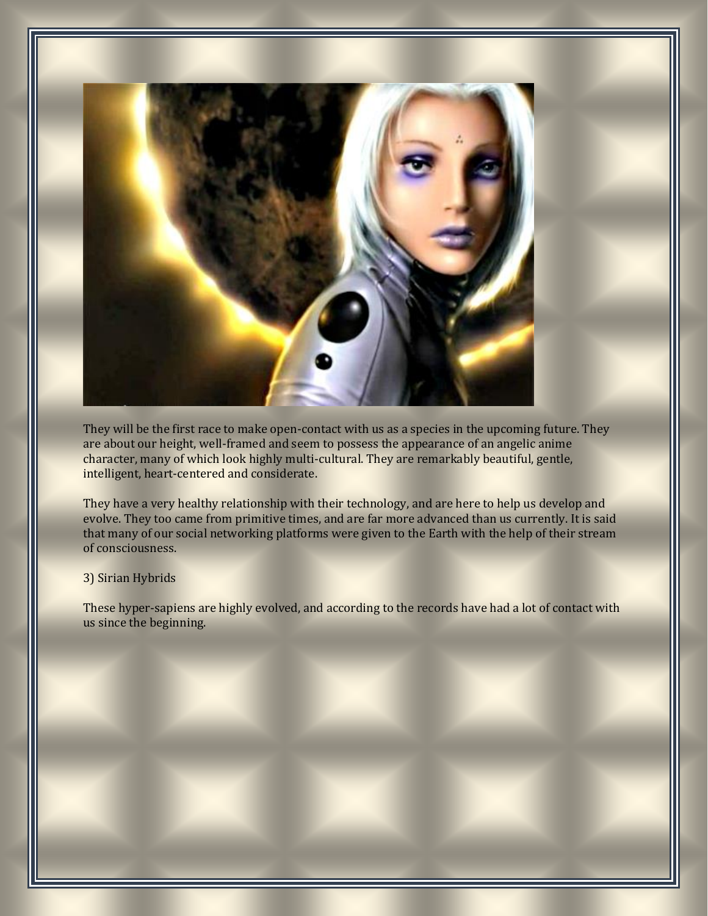

They will be the first race to make open-contact with us as a species in the upcoming future. They are about our height, well-framed and seem to possess the appearance of an angelic anime character, many of which look highly multi-cultural. They are remarkably beautiful, gentle, intelligent, heart-centered and considerate.

They have a very healthy relationship with their technology, and are here to help us develop and evolve. They too came from primitive times, and are far more advanced than us currently. It is said that many of our social networking platforms were given to the Earth with the help of their stream of consciousness.

## 3) Sirian Hybrids

These hyper-sapiens are highly evolved, and according to the records have had a lot of contact with us since the beginning.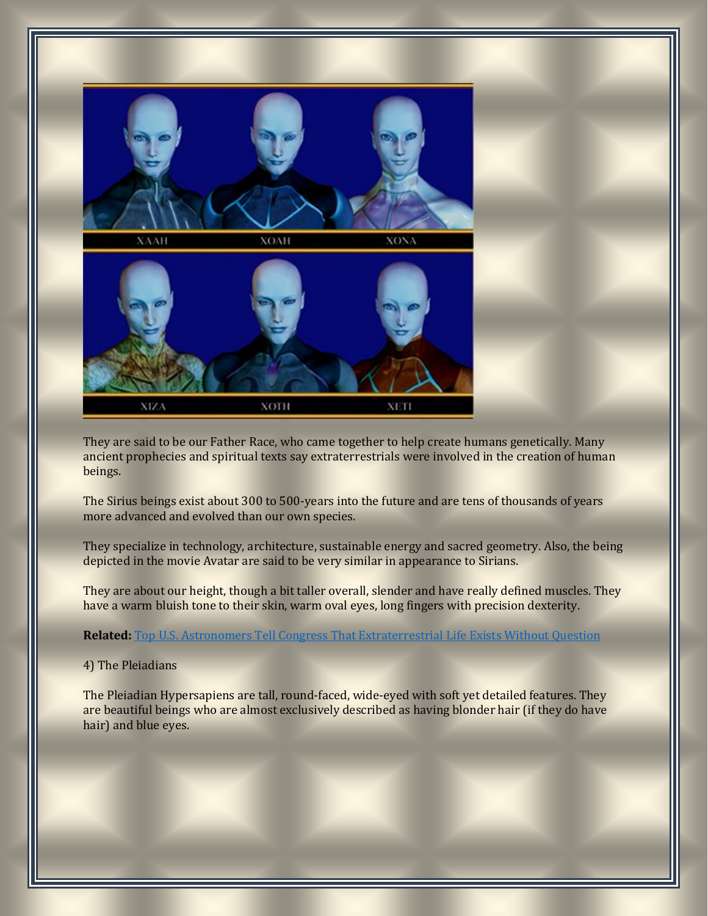

They are said to be our Father Race, who came together to help create humans genetically. Many ancient prophecies and spiritual texts say extraterrestrials were involved in the creation of human beings.

The Sirius beings exist about 300 to 500-years into the future and are tens of thousands of years more advanced and evolved than our own species.

They specialize in technology, architecture, sustainable energy and sacred geometry. Also, the being depicted in the movie Avatar are said to be very similar in appearance to Sirians.

They are about our height, though a bit taller overall, slender and have really defined muscles. They have a warm bluish tone to their skin, warm oval eyes, long fingers with precision dexterity.

**Related:** [Top U.S. Astronomers Tell Congress That Extraterrestrial Life Exists Without Question](http://humansarefree.com/2014/07/top-us-astronomers-tell-congress-that.html)

# 4) The Pleiadians

The Pleiadian Hypersapiens are tall, round-faced, wide-eyed with soft yet detailed features. They are beautiful beings who are almost exclusively described as having blonder hair (if they do have hair) and blue eyes.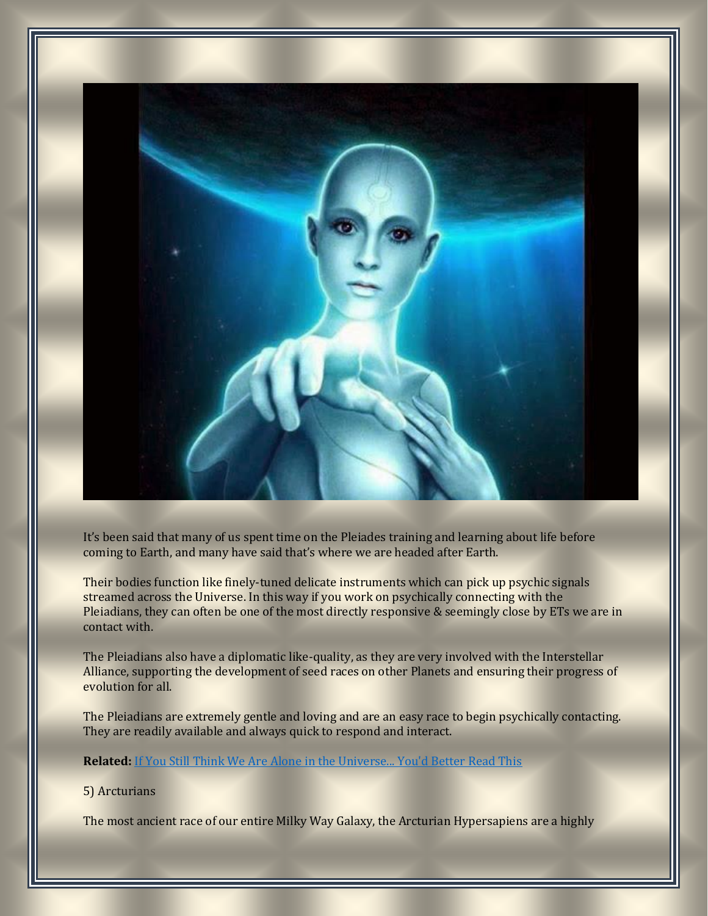

It's been said that many of us spent time on the Pleiades training and learning about life before coming to Earth, and many have said that's where we are headed after Earth.

Their bodies function like finely-tuned delicate instruments which can pick up psychic signals streamed across the Universe. In this way if you work on psychically connecting with the Pleiadians, they can often be one of the most directly responsive & seemingly close by ETs we are in contact with.

The Pleiadians also have a diplomatic like-quality, as they are very involved with the Interstellar Alliance, supporting the development of seed races on other Planets and ensuring their progress of evolution for all.

The Pleiadians are extremely gentle and loving and are an easy race to begin psychically contacting. They are readily available and always quick to respond and interact.

**Related:** [If You Still Think We Are Alone in the Universe... You'd Better Read This](http://humansarefree.com/2014/09/if-you-still-think-we-are-alone-in.html)

# 5) Arcturians

The most ancient race of our entire Milky Way Galaxy, the Arcturian Hypersapiens are a highly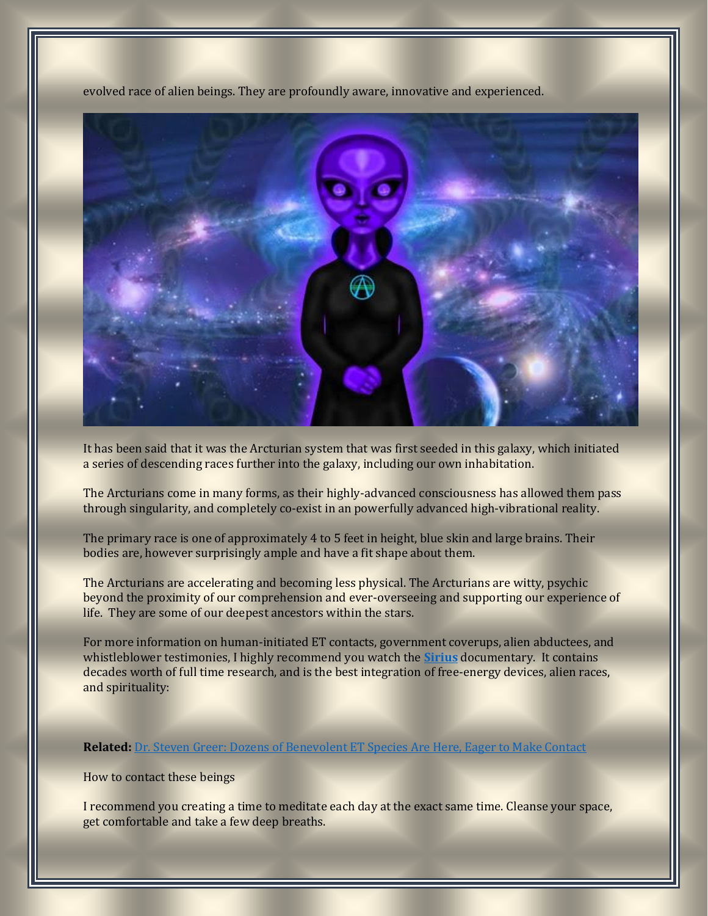evolved race of alien beings. They are profoundly aware, innovative and experienced.



It has been said that it was the Arcturian system that was first seeded in this galaxy, which initiated a series of descending races further into the galaxy, including our own inhabitation.

The Arcturians come in many forms, as their highly-advanced consciousness has allowed them pass through singularity, and completely co-exist in an powerfully advanced high-vibrational reality.

The primary race is one of approximately 4 to 5 feet in height, blue skin and large brains. Their bodies are, however surprisingly ample and have a fit shape about them.

The Arcturians are accelerating and becoming less physical. The Arcturians are witty, psychic beyond the proximity of our comprehension and ever-overseeing and supporting our experience of life. They are some of our deepest ancestors within the stars.

For more information on human-initiated ET contacts, government coverups, alien abductees, and whistleblower testimonies, I highly recommend you watch the **[Sirius](http://www.amazon.com/gp/product/B00NM7JBV2/ref=as_li_qf_sp_asin_il_tl?ie=UTF8&camp=1789&creative=9325&creativeASIN=B00NM7JBV2&linkCode=as2&tag=humarefre-20&linkId=BMK2TB7KYQ36TFVW)** documentary. It contains decades worth of full time research, and is the best integration of free-energy devices, alien races, and spirituality:

**Related:** [Dr. Steven Greer: Dozens of Benevolent ET Species Are Here, Eager to Make Contact](http://humansarefree.com/2014/11/dr-steven-greer-dozens-of-benevolent-et.html)

How to contact these beings

I recommend you creating a time to meditate each day at the exact same time. Cleanse your space, get comfortable and take a few deep breaths.